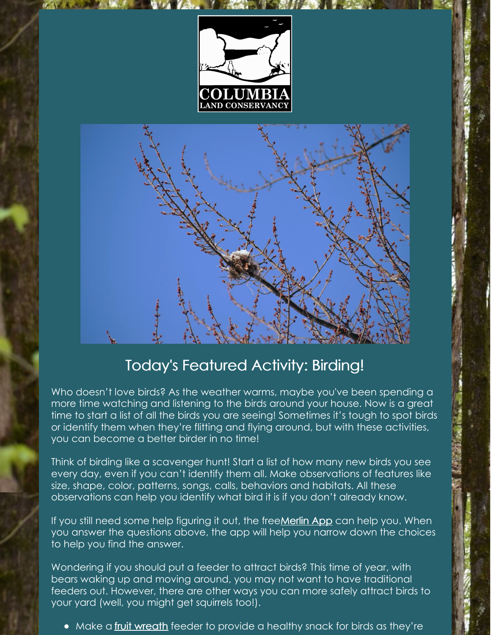



## Today's Featured Activity: Birding!

Who doesn't love birds? As the weather warms, maybe you've been spending a more time watching and listening to the birds around your house. Now is a great time to start a list of all the birds you are seeing! Sometimes it's tough to spot birds or identify them when they're flitting and flying around, but with these activities, you can become a better birder in no time!

Think of birding like a scavenger hunt! Start a list of how many new birds you see every day, even if you can't identify them all. Make observations of features like size, shape, color, patterns, songs, calls, behaviors and habitats. All these observations can help you identify what bird it is if you don't already know.

If you still need some help figuring it out, the free Merlin App can help you. When you answer the questions above, the app will help you narrow down the choices to help you find the answer.

Wondering if you should put a feeder to attract birds? This time of year, with bears waking up and moving around, you may not want to have traditional feeders out. However, there are other ways you can more safely attract birds to your yard (well, you might get squirrels too!).

• Make a fruit [wreath](https://www.rspb.org.uk/globalassets/downloads/documents/kids-and-schools/make-a-bird-kebab.pdf) feeder to provide a healthy snack for birds as they're